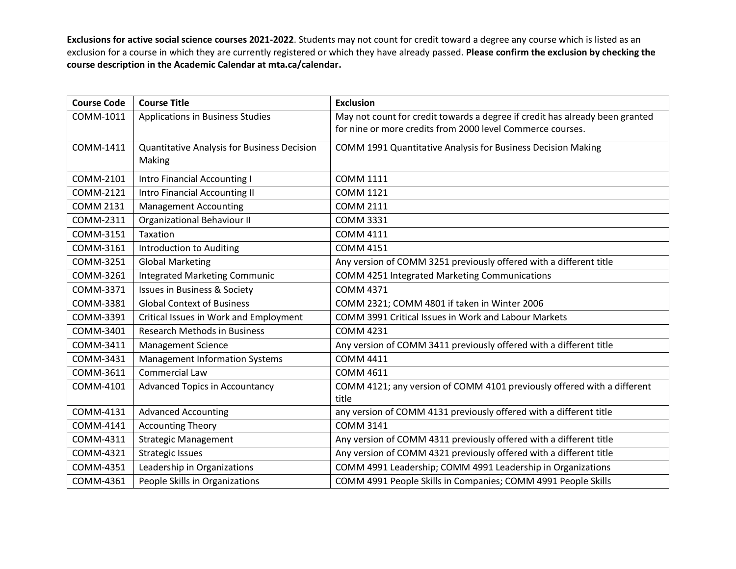| <b>Course Code</b> | <b>Course Title</b>                         | <b>Exclusion</b>                                                             |
|--------------------|---------------------------------------------|------------------------------------------------------------------------------|
| COMM-1011          | Applications in Business Studies            | May not count for credit towards a degree if credit has already been granted |
|                    |                                             | for nine or more credits from 2000 level Commerce courses.                   |
| COMM-1411          | Quantitative Analysis for Business Decision | COMM 1991 Quantitative Analysis for Business Decision Making                 |
|                    | Making                                      |                                                                              |
| COMM-2101          | Intro Financial Accounting I                | <b>COMM 1111</b>                                                             |
| COMM-2121          | <b>Intro Financial Accounting II</b>        | <b>COMM 1121</b>                                                             |
| <b>COMM 2131</b>   | <b>Management Accounting</b>                | <b>COMM 2111</b>                                                             |
| COMM-2311          | <b>Organizational Behaviour II</b>          | <b>COMM 3331</b>                                                             |
| COMM-3151          | Taxation                                    | <b>COMM 4111</b>                                                             |
| COMM-3161          | Introduction to Auditing                    | <b>COMM 4151</b>                                                             |
| COMM-3251          | <b>Global Marketing</b>                     | Any version of COMM 3251 previously offered with a different title           |
| COMM-3261          | <b>Integrated Marketing Communic</b>        | COMM 4251 Integrated Marketing Communications                                |
| COMM-3371          | <b>Issues in Business &amp; Society</b>     | <b>COMM 4371</b>                                                             |
| COMM-3381          | <b>Global Context of Business</b>           | COMM 2321; COMM 4801 if taken in Winter 2006                                 |
| COMM-3391          | Critical Issues in Work and Employment      | <b>COMM 3991 Critical Issues in Work and Labour Markets</b>                  |
| COMM-3401          | <b>Research Methods in Business</b>         | <b>COMM 4231</b>                                                             |
| COMM-3411          | <b>Management Science</b>                   | Any version of COMM 3411 previously offered with a different title           |
| COMM-3431          | <b>Management Information Systems</b>       | <b>COMM 4411</b>                                                             |
| COMM-3611          | <b>Commercial Law</b>                       | <b>COMM 4611</b>                                                             |
| COMM-4101          | <b>Advanced Topics in Accountancy</b>       | COMM 4121; any version of COMM 4101 previously offered with a different      |
|                    |                                             | title                                                                        |
| COMM-4131          | <b>Advanced Accounting</b>                  | any version of COMM 4131 previously offered with a different title           |
| COMM-4141          | <b>Accounting Theory</b>                    | <b>COMM 3141</b>                                                             |
| COMM-4311          | <b>Strategic Management</b>                 | Any version of COMM 4311 previously offered with a different title           |
| COMM-4321          | <b>Strategic Issues</b>                     | Any version of COMM 4321 previously offered with a different title           |
| COMM-4351          | Leadership in Organizations                 | COMM 4991 Leadership; COMM 4991 Leadership in Organizations                  |
| COMM-4361          | People Skills in Organizations              | COMM 4991 People Skills in Companies; COMM 4991 People Skills                |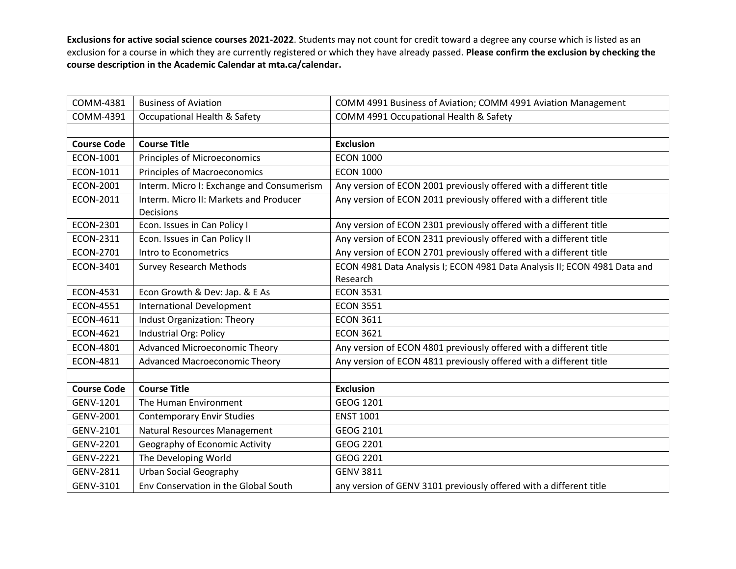| COMM-4381          | <b>Business of Aviation</b>                         | COMM 4991 Business of Aviation; COMM 4991 Aviation Management             |
|--------------------|-----------------------------------------------------|---------------------------------------------------------------------------|
| COMM-4391          | Occupational Health & Safety                        | COMM 4991 Occupational Health & Safety                                    |
|                    |                                                     |                                                                           |
| <b>Course Code</b> | <b>Course Title</b>                                 | <b>Exclusion</b>                                                          |
| ECON-1001          | Principles of Microeconomics                        | <b>ECON 1000</b>                                                          |
| ECON-1011          | <b>Principles of Macroeconomics</b>                 | <b>ECON 1000</b>                                                          |
| ECON-2001          | Interm. Micro I: Exchange and Consumerism           | Any version of ECON 2001 previously offered with a different title        |
| ECON-2011          | Interm. Micro II: Markets and Producer<br>Decisions | Any version of ECON 2011 previously offered with a different title        |
| ECON-2301          | Econ. Issues in Can Policy I                        | Any version of ECON 2301 previously offered with a different title        |
| ECON-2311          | Econ. Issues in Can Policy II                       | Any version of ECON 2311 previously offered with a different title        |
| ECON-2701          | Intro to Econometrics                               | Any version of ECON 2701 previously offered with a different title        |
| ECON-3401          | <b>Survey Research Methods</b>                      | ECON 4981 Data Analysis I; ECON 4981 Data Analysis II; ECON 4981 Data and |
|                    |                                                     | Research                                                                  |
| ECON-4531          | Econ Growth & Dev: Jap. & E As                      | <b>ECON 3531</b>                                                          |
| <b>ECON-4551</b>   | <b>International Development</b>                    | <b>ECON 3551</b>                                                          |
| ECON-4611          | Indust Organization: Theory                         | <b>ECON 3611</b>                                                          |
| ECON-4621          | Industrial Org: Policy                              | <b>ECON 3621</b>                                                          |
| ECON-4801          | Advanced Microeconomic Theory                       | Any version of ECON 4801 previously offered with a different title        |
| ECON-4811          | Advanced Macroeconomic Theory                       | Any version of ECON 4811 previously offered with a different title        |
|                    |                                                     |                                                                           |
| <b>Course Code</b> | <b>Course Title</b>                                 | <b>Exclusion</b>                                                          |
| GENV-1201          | The Human Environment                               | GEOG 1201                                                                 |
| GENV-2001          | <b>Contemporary Envir Studies</b>                   | <b>ENST 1001</b>                                                          |
| GENV-2101          | Natural Resources Management                        | GEOG 2101                                                                 |
| GENV-2201          | Geography of Economic Activity                      | GEOG 2201                                                                 |
| <b>GENV-2221</b>   | The Developing World                                | GEOG 2201                                                                 |
| GENV-2811          | <b>Urban Social Geography</b>                       | <b>GENV 3811</b>                                                          |
| GENV-3101          | Env Conservation in the Global South                | any version of GENV 3101 previously offered with a different title        |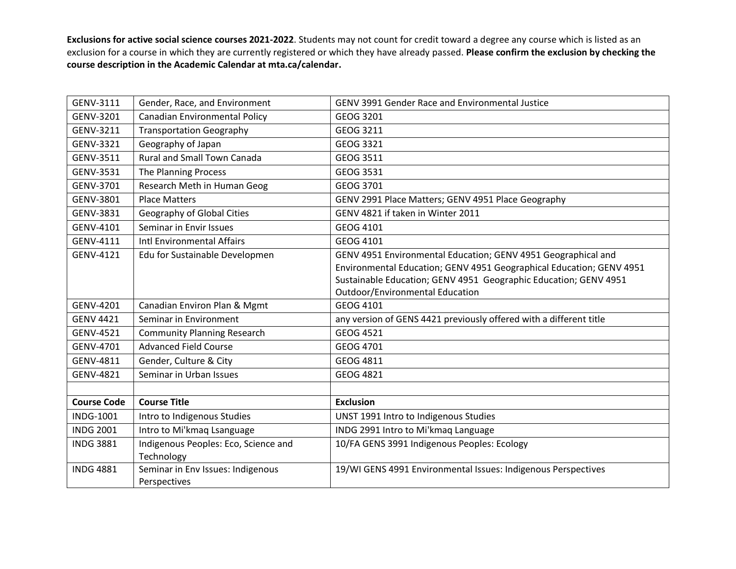| GENV-3111          | Gender, Race, and Environment        | <b>GENV 3991 Gender Race and Environmental Justice</b>               |
|--------------------|--------------------------------------|----------------------------------------------------------------------|
| GENV-3201          | <b>Canadian Environmental Policy</b> | GEOG 3201                                                            |
| GENV-3211          | <b>Transportation Geography</b>      | GEOG 3211                                                            |
| GENV-3321          | Geography of Japan                   | GEOG 3321                                                            |
| GENV-3511          | <b>Rural and Small Town Canada</b>   | GEOG 3511                                                            |
| GENV-3531          | The Planning Process                 | GEOG 3531                                                            |
| GENV-3701          | Research Meth in Human Geog          | GEOG 3701                                                            |
| GENV-3801          | <b>Place Matters</b>                 | GENV 2991 Place Matters; GENV 4951 Place Geography                   |
| GENV-3831          | Geography of Global Cities           | GENV 4821 if taken in Winter 2011                                    |
| GENV-4101          | Seminar in Envir Issues              | GEOG 4101                                                            |
| GENV-4111          | Intl Environmental Affairs           | GEOG 4101                                                            |
| GENV-4121          | Edu for Sustainable Developmen       | GENV 4951 Environmental Education; GENV 4951 Geographical and        |
|                    |                                      | Environmental Education; GENV 4951 Geographical Education; GENV 4951 |
|                    |                                      | Sustainable Education; GENV 4951 Geographic Education; GENV 4951     |
|                    |                                      | <b>Outdoor/Environmental Education</b>                               |
| GENV-4201          | Canadian Environ Plan & Mgmt         | GEOG 4101                                                            |
| <b>GENV 4421</b>   | Seminar in Environment               | any version of GENS 4421 previously offered with a different title   |
| GENV-4521          | <b>Community Planning Research</b>   | <b>GEOG 4521</b>                                                     |
| GENV-4701          | <b>Advanced Field Course</b>         | GEOG 4701                                                            |
| GENV-4811          | Gender, Culture & City               | GEOG 4811                                                            |
| GENV-4821          | Seminar in Urban Issues              | GEOG 4821                                                            |
|                    |                                      |                                                                      |
| <b>Course Code</b> | <b>Course Title</b>                  | <b>Exclusion</b>                                                     |
| <b>INDG-1001</b>   | Intro to Indigenous Studies          | UNST 1991 Intro to Indigenous Studies                                |
| <b>INDG 2001</b>   | Intro to Mi'kmaq Lsanguage           | INDG 2991 Intro to Mi'kmaq Language                                  |
| <b>INDG 3881</b>   | Indigenous Peoples: Eco, Science and | 10/FA GENS 3991 Indigenous Peoples: Ecology                          |
|                    | Technology                           |                                                                      |
| <b>INDG 4881</b>   | Seminar in Env Issues: Indigenous    | 19/WI GENS 4991 Environmental Issues: Indigenous Perspectives        |
|                    | Perspectives                         |                                                                      |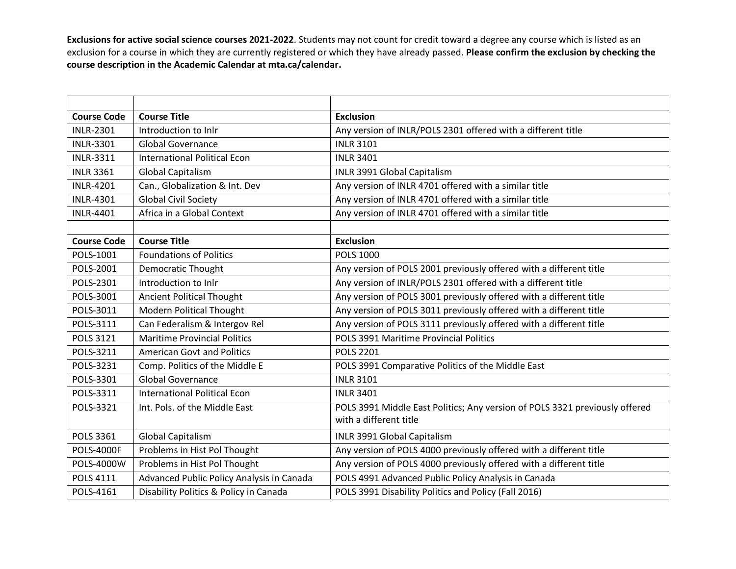| <b>Course Code</b> | <b>Course Title</b>                       | <b>Exclusion</b>                                                            |
|--------------------|-------------------------------------------|-----------------------------------------------------------------------------|
| <b>INLR-2301</b>   | Introduction to Inlr                      | Any version of INLR/POLS 2301 offered with a different title                |
| <b>INLR-3301</b>   | <b>Global Governance</b>                  | <b>INLR 3101</b>                                                            |
| <b>INLR-3311</b>   | <b>International Political Econ</b>       | <b>INLR 3401</b>                                                            |
| <b>INLR 3361</b>   | <b>Global Capitalism</b>                  | INLR 3991 Global Capitalism                                                 |
| <b>INLR-4201</b>   | Can., Globalization & Int. Dev            | Any version of INLR 4701 offered with a similar title                       |
| <b>INLR-4301</b>   | <b>Global Civil Society</b>               | Any version of INLR 4701 offered with a similar title                       |
| <b>INLR-4401</b>   | Africa in a Global Context                | Any version of INLR 4701 offered with a similar title                       |
|                    |                                           |                                                                             |
| <b>Course Code</b> | <b>Course Title</b>                       | <b>Exclusion</b>                                                            |
| POLS-1001          | <b>Foundations of Politics</b>            | <b>POLS 1000</b>                                                            |
| POLS-2001          | <b>Democratic Thought</b>                 | Any version of POLS 2001 previously offered with a different title          |
| POLS-2301          | Introduction to Inlr                      | Any version of INLR/POLS 2301 offered with a different title                |
| POLS-3001          | <b>Ancient Political Thought</b>          | Any version of POLS 3001 previously offered with a different title          |
| POLS-3011          | Modern Political Thought                  | Any version of POLS 3011 previously offered with a different title          |
| POLS-3111          | Can Federalism & Intergov Rel             | Any version of POLS 3111 previously offered with a different title          |
| <b>POLS 3121</b>   | <b>Maritime Provincial Politics</b>       | POLS 3991 Maritime Provincial Politics                                      |
| POLS-3211          | <b>American Govt and Politics</b>         | <b>POLS 2201</b>                                                            |
| POLS-3231          | Comp. Politics of the Middle E            | POLS 3991 Comparative Politics of the Middle East                           |
| POLS-3301          | <b>Global Governance</b>                  | <b>INLR 3101</b>                                                            |
| POLS-3311          | <b>International Political Econ</b>       | <b>INLR 3401</b>                                                            |
| POLS-3321          | Int. Pols. of the Middle East             | POLS 3991 Middle East Politics; Any version of POLS 3321 previously offered |
|                    |                                           | with a different title                                                      |
| <b>POLS 3361</b>   | <b>Global Capitalism</b>                  | INLR 3991 Global Capitalism                                                 |
| <b>POLS-4000F</b>  | Problems in Hist Pol Thought              | Any version of POLS 4000 previously offered with a different title          |
| POLS-4000W         | Problems in Hist Pol Thought              | Any version of POLS 4000 previously offered with a different title          |
| POLS 4111          | Advanced Public Policy Analysis in Canada | POLS 4991 Advanced Public Policy Analysis in Canada                         |
| POLS-4161          | Disability Politics & Policy in Canada    | POLS 3991 Disability Politics and Policy (Fall 2016)                        |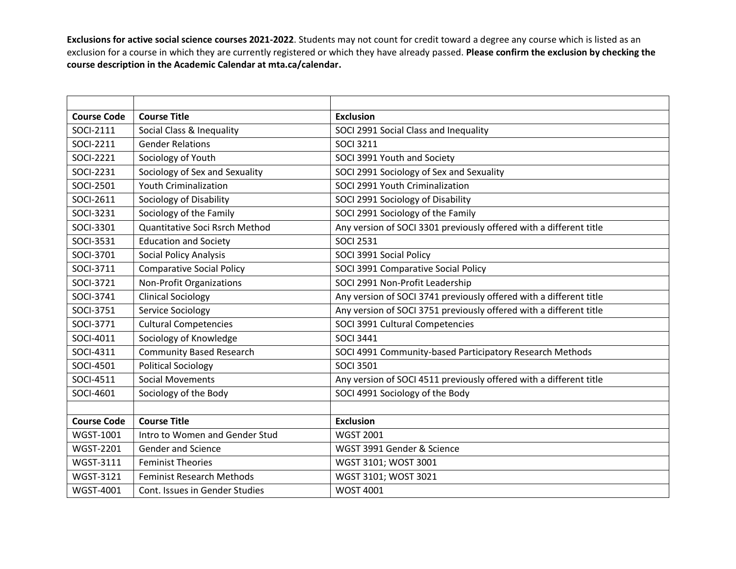| <b>Course Code</b> | <b>Course Title</b>              | <b>Exclusion</b>                                                   |
|--------------------|----------------------------------|--------------------------------------------------------------------|
| <b>SOCI-2111</b>   | Social Class & Inequality        | SOCI 2991 Social Class and Inequality                              |
| SOCI-2211          | <b>Gender Relations</b>          | <b>SOCI 3211</b>                                                   |
| SOCI-2221          | Sociology of Youth               | SOCI 3991 Youth and Society                                        |
| SOCI-2231          | Sociology of Sex and Sexuality   | SOCI 2991 Sociology of Sex and Sexuality                           |
| SOCI-2501          | <b>Youth Criminalization</b>     | SOCI 2991 Youth Criminalization                                    |
| SOCI-2611          | Sociology of Disability          | SOCI 2991 Sociology of Disability                                  |
| SOCI-3231          | Sociology of the Family          | SOCI 2991 Sociology of the Family                                  |
| SOCI-3301          | Quantitative Soci Rsrch Method   | Any version of SOCI 3301 previously offered with a different title |
| SOCI-3531          | <b>Education and Society</b>     | <b>SOCI 2531</b>                                                   |
| SOCI-3701          | <b>Social Policy Analysis</b>    | SOCI 3991 Social Policy                                            |
| SOCI-3711          | <b>Comparative Social Policy</b> | SOCI 3991 Comparative Social Policy                                |
| SOCI-3721          | Non-Profit Organizations         | SOCI 2991 Non-Profit Leadership                                    |
| SOCI-3741          | <b>Clinical Sociology</b>        | Any version of SOCI 3741 previously offered with a different title |
| SOCI-3751          | Service Sociology                | Any version of SOCI 3751 previously offered with a different title |
| SOCI-3771          | <b>Cultural Competencies</b>     | SOCI 3991 Cultural Competencies                                    |
| SOCI-4011          | Sociology of Knowledge           | <b>SOCI 3441</b>                                                   |
| SOCI-4311          | <b>Community Based Research</b>  | SOCI 4991 Community-based Participatory Research Methods           |
| <b>SOCI-4501</b>   | <b>Political Sociology</b>       | <b>SOCI 3501</b>                                                   |
| SOCI-4511          | <b>Social Movements</b>          | Any version of SOCI 4511 previously offered with a different title |
| SOCI-4601          | Sociology of the Body            | SOCI 4991 Sociology of the Body                                    |
|                    |                                  |                                                                    |
| <b>Course Code</b> | <b>Course Title</b>              | <b>Exclusion</b>                                                   |
| <b>WGST-1001</b>   | Intro to Women and Gender Stud   | <b>WGST 2001</b>                                                   |
| <b>WGST-2201</b>   | Gender and Science               | WGST 3991 Gender & Science                                         |
| <b>WGST-3111</b>   | <b>Feminist Theories</b>         | WGST 3101; WOST 3001                                               |
| <b>WGST-3121</b>   | <b>Feminist Research Methods</b> | WGST 3101; WOST 3021                                               |
| <b>WGST-4001</b>   | Cont. Issues in Gender Studies   | <b>WOST 4001</b>                                                   |